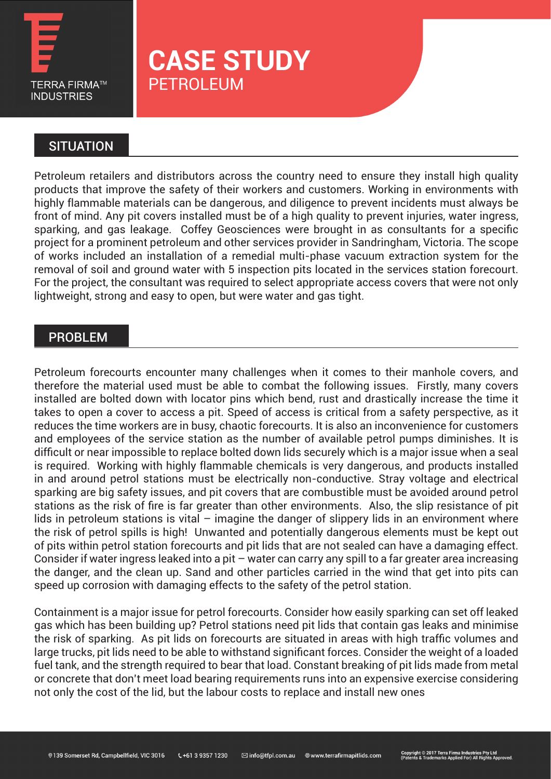

# **CASE STUDY** PETROLEUM

## **SITUATION**

Petroleum retailers and distributors across the country need to ensure they install high quality products that improve the safety of their workers and customers. Working in environments with highly flammable materials can be dangerous, and diligence to prevent incidents must always be front of mind. Any pit covers installed must be of a high quality to prevent injuries, water ingress, sparking, and gas leakage. Coffey Geosciences were brought in as consultants for a specific project for a prominent petroleum and other services provider in Sandringham, Victoria. The scope of works included an installation of a remedial multi-phase vacuum extraction system for the removal of soil and ground water with 5 inspection pits located in the services station forecourt. For the project, the consultant was required to select appropriate access covers that were not only lightweight, strong and easy to open, but were water and gas tight.

### PROBLEM

Petroleum forecourts encounter many challenges when it comes to their manhole covers, and therefore the material used must be able to combat the following issues. Firstly, many covers installed are bolted down with locator pins which bend, rust and drastically increase the time it takes to open a cover to access a pit. Speed of access is critical from a safety perspective, as it reduces the time workers are in busy, chaotic forecourts. It is also an inconvenience for customers and employees of the service station as the number of available petrol pumps diminishes. It is difficult or near impossible to replace bolted down lids securely which is a major issue when a seal is required. Working with highly flammable chemicals is very dangerous, and products installed in and around petrol stations must be electrically non-conductive. Stray voltage and electrical sparking are big safety issues, and pit covers that are combustible must be avoided around petrol stations as the risk of fire is far greater than other environments. Also, the slip resistance of pit lids in petroleum stations is vital – imagine the danger of slippery lids in an environment where the risk of petrol spills is high! Unwanted and potentially dangerous elements must be kept out of pits within petrol station forecourts and pit lids that are not sealed can have a damaging effect. Consider if water ingress leaked into a pit – water can carry any spill to a far greater area increasing the danger, and the clean up. Sand and other particles carried in the wind that get into pits can speed up corrosion with damaging effects to the safety of the petrol station.

Containment is a major issue for petrol forecourts. Consider how easily sparking can set off leaked gas which has been building up? Petrol stations need pit lids that contain gas leaks and minimise the risk of sparking. As pit lids on forecourts are situated in areas with high traffic volumes and large trucks, pit lids need to be able to withstand significant forces. Consider the weight of a loaded fuel tank, and the strength required to bear that load. Constant breaking of pit lids made from metal or concrete that don't meet load bearing requirements runs into an expensive exercise considering not only the cost of the lid, but the labour costs to replace and install new ones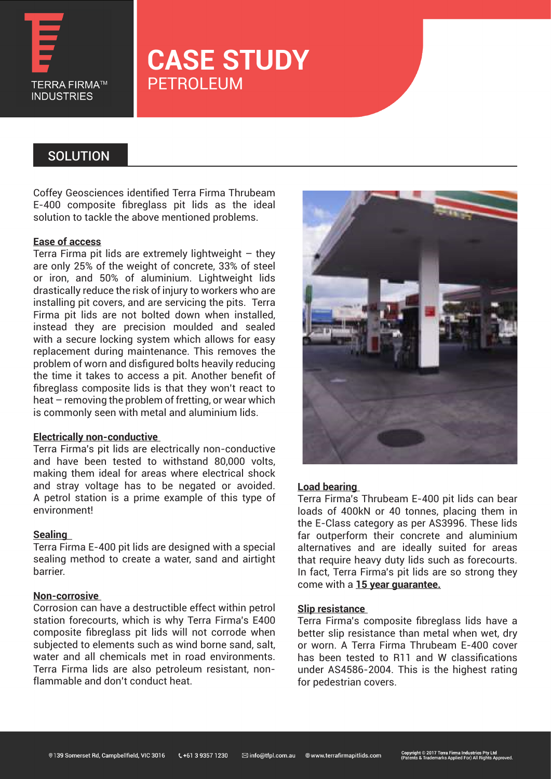

# **CASE STUDY** PETROLEUM

### **SOLUTION**

Coffey Geosciences identified Terra Firma Thrubeam E-400 composite fibreglass pit lids as the ideal solution to tackle the above mentioned problems.

#### **Ease of access**

Terra Firma pit lids are extremely lightweight  $-$  they are only 25% of the weight of concrete, 33% of steel or iron, and 50% of aluminium. Lightweight lids drastically reduce the risk of injury to workers who are installing pit covers, and are servicing the pits. Terra Firma pit lids are not bolted down when installed, instead they are precision moulded and sealed with a secure locking system which allows for easy replacement during maintenance. This removes the problem of worn and disfigured bolts heavily reducing the time it takes to access a pit. Another benefit of fibreglass composite lids is that they won't react to heat – removing the problem of fretting, or wear which is commonly seen with metal and aluminium lids.

#### **Electrically non-conductive**

Terra Firma's pit lids are electrically non-conductive and have been tested to withstand 80,000 volts, making them ideal for areas where electrical shock and stray voltage has to be negated or avoided. A petrol station is a prime example of this type of environment!

#### **Sealing**

Terra Firma E-400 pit lids are designed with a special sealing method to create a water, sand and airtight barrier.

#### **Non-corrosive**

Corrosion can have a destructible effect within petrol station forecourts, which is why Terra Firma's E400 composite fibreglass pit lids will not corrode when subjected to elements such as wind borne sand, salt, water and all chemicals met in road environments. Terra Firma lids are also petroleum resistant, nonflammable and don't conduct heat.



#### **Load bearing**

Terra Firma's Thrubeam E-400 pit lids can bear loads of 400kN or 40 tonnes, placing them in the E-Class category as per AS3996. These lids far outperform their concrete and aluminium alternatives and are ideally suited for areas that require heavy duty lids such as forecourts. In fact, Terra Firma's pit lids are so strong they come with a **15 year guarantee.**

#### **Slip resistance**

Terra Firma's composite fibreglass lids have a better slip resistance than metal when wet, dry or worn. A Terra Firma Thrubeam E-400 cover has been tested to R11 and W classifications under AS4586-2004. This is the highest rating for pedestrian covers.